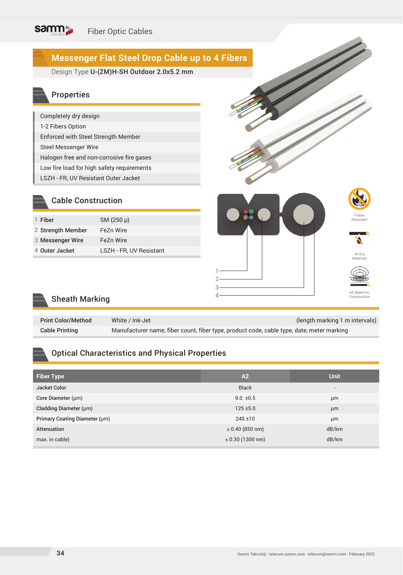## **Messenger Flat Steel Drop Cable up to 4 Fibers**

Design Type **U-(ZM)H-SH Outdoor 2.0x5.2 mm** 

### Properties

| Completely dry design                      |
|--------------------------------------------|
| 1-2 Fibers Option                          |
| Enforced with Steel Strength Member        |
| <b>Steel Messenger Wire</b>                |
| Halogen free and non-corrosive fire gases  |
| Low fire load for high safety requirements |
| LSZH - FR, UV Resistant Outer Jacket       |

SM (250 μ)

LSZH - FR, UV Resistant

## Flame Retardant All Dry Materials 1 2 3 4 All Dielectric Construction (2002)<br>Construction (2004) Construction

# Sheath Marking

2 Strength Member FeZn Wire Messenger Wire FeZn Wire 3

Cable Construction

1 Fiber

4 Outer Jacket

| <b>Print Color/Method</b> | White / Ink-Jet                                                                           | (length marking 1 m intervals) |
|---------------------------|-------------------------------------------------------------------------------------------|--------------------------------|
| <b>Cable Printing</b>     | Manufacturer name, fiber count, fiber type, product code, cable type, date, meter marking |                                |

### Optical Characteristics and Physical Properties

| <b>Fiber Type</b>             | A2                    | <b>Unit</b>              |
|-------------------------------|-----------------------|--------------------------|
| Jacket Color                  | <b>Black</b>          | $\overline{\phantom{a}}$ |
| Core Diameter (µm)            | $9.0 \pm 0.5$         | µm                       |
| Cladding Diameter (µm)        | $125 \pm 5.0$         | µm                       |
| Primary Coating Diameter (µm) | $245 \pm 10$          | μm                       |
| Attenuation                   | $\leq 0.40$ (850 nm)  | dB/km                    |
| max. in cable)                | $\leq 0.30$ (1300 nm) | dB/km                    |